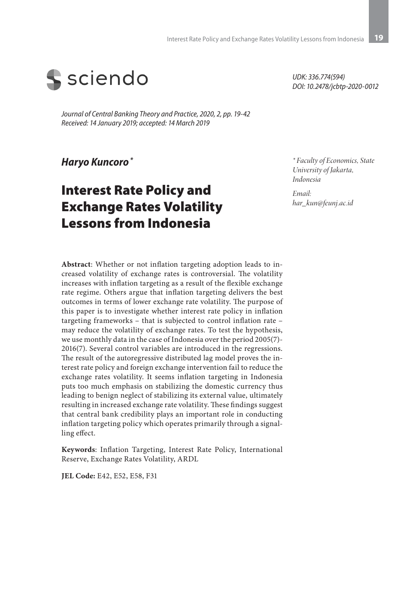

*Journal of Central Banking Theory and Practice, 2020, 2, pp. 19-42 Received: 14 January 2019; accepted: 14 March 2019*

*Haryo Kuncoro \**

# Interest Rate Policy and Exchange Rates Volatility Lessons from Indonesia

*UDK: 336.774(594) DOI: 10.2478/jcbtp-2020-0012*

*\* Faculty of Economics, State University of Jakarta, Indonesia*

*Email: har\_kun@feunj.ac.id*

**Abstract**: Whether or not inflation targeting adoption leads to increased volatility of exchange rates is controversial. The volatility increases with inflation targeting as a result of the flexible exchange rate regime. Others argue that inflation targeting delivers the best outcomes in terms of lower exchange rate volatility. The purpose of this paper is to investigate whether interest rate policy in inflation targeting frameworks – that is subjected to control inflation rate – may reduce the volatility of exchange rates. To test the hypothesis, we use monthly data in the case of Indonesia over the period 2005(7)- 2016(7). Several control variables are introduced in the regressions. The result of the autoregressive distributed lag model proves the interest rate policy and foreign exchange intervention fail to reduce the exchange rates volatility. It seems inflation targeting in Indonesia puts too much emphasis on stabilizing the domestic currency thus leading to benign neglect of stabilizing its external value, ultimately resulting in increased exchange rate volatility. These findings suggest that central bank credibility plays an important role in conducting inflation targeting policy which operates primarily through a signalling effect.

**Keywords**: Inflation Targeting, Interest Rate Policy, International Reserve, Exchange Rates Volatility, ARDL

**JEL Code:** E42, E52, E58, F31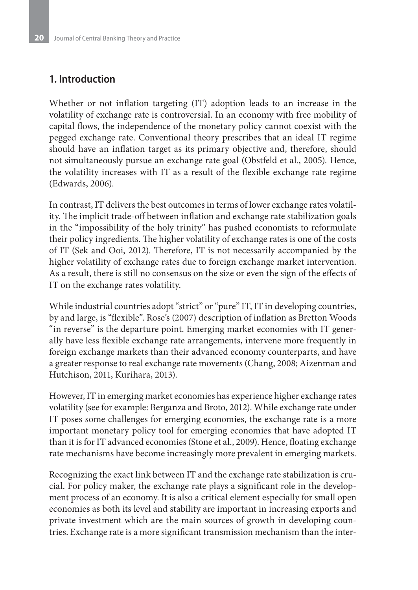### **1. Introduction**

Whether or not inflation targeting (IT) adoption leads to an increase in the volatility of exchange rate is controversial. In an economy with free mobility of capital flows, the independence of the monetary policy cannot coexist with the pegged exchange rate. Conventional theory prescribes that an ideal IT regime should have an inflation target as its primary objective and, therefore, should not simultaneously pursue an exchange rate goal (Obstfeld et al., 2005). Hence, the volatility increases with IT as a result of the flexible exchange rate regime (Edwards, 2006).

In contrast, IT delivers the best outcomes in terms of lower exchange rates volatility. The implicit trade-off between inflation and exchange rate stabilization goals in the "impossibility of the holy trinity" has pushed economists to reformulate their policy ingredients. The higher volatility of exchange rates is one of the costs of IT (Sek and Ooi, 2012). Therefore, IT is not necessarily accompanied by the higher volatility of exchange rates due to foreign exchange market intervention. As a result, there is still no consensus on the size or even the sign of the effects of IT on the exchange rates volatility.

While industrial countries adopt "strict" or "pure" IT, IT in developing countries, by and large, is "flexible". Rose's (2007) description of inflation as Bretton Woods "in reverse" is the departure point. Emerging market economies with IT generally have less flexible exchange rate arrangements, intervene more frequently in foreign exchange markets than their advanced economy counterparts, and have a greater response to real exchange rate movements (Chang, 2008; Aizenman and Hutchison, 2011, Kurihara, 2013).

However, IT in emerging market economies has experience higher exchange rates volatility (see for example: Berganza and Broto, 2012). While exchange rate under IT poses some challenges for emerging economies, the exchange rate is a more important monetary policy tool for emerging economies that have adopted IT than it is for IT advanced economies (Stone et al., 2009). Hence, floating exchange rate mechanisms have become increasingly more prevalent in emerging markets.

Recognizing the exact link between IT and the exchange rate stabilization is crucial. For policy maker, the exchange rate plays a significant role in the development process of an economy. It is also a critical element especially for small open economies as both its level and stability are important in increasing exports and private investment which are the main sources of growth in developing countries. Exchange rate is a more significant transmission mechanism than the inter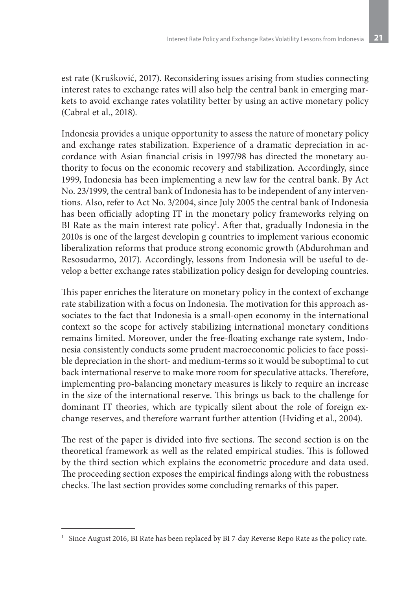est rate (Krušković, 2017). Reconsidering issues arising from studies connecting interest rates to exchange rates will also help the central bank in emerging markets to avoid exchange rates volatility better by using an active monetary policy (Cabral et al., 2018).

Indonesia provides a unique opportunity to assess the nature of monetary policy and exchange rates stabilization. Experience of a dramatic depreciation in accordance with Asian financial crisis in 1997/98 has directed the monetary authority to focus on the economic recovery and stabilization. Accordingly, since 1999, Indonesia has been implementing a new law for the central bank. By Act No. 23/1999, the central bank of Indonesia has to be independent of any interventions. Also, refer to Act No. 3/2004, since July 2005 the central bank of Indonesia has been officially adopting IT in the monetary policy frameworks relying on BI Rate as the main interest rate policy<sup>1</sup>. After that, gradually Indonesia in the 2010s is one of the largest developin g countries to implement various economic liberalization reforms that produce strong economic growth (Abdurohman and Resosudarmo, 2017). Accordingly, lessons from Indonesia will be useful to develop a better exchange rates stabilization policy design for developing countries.

This paper enriches the literature on monetary policy in the context of exchange rate stabilization with a focus on Indonesia. The motivation for this approach associates to the fact that Indonesia is a small-open economy in the international context so the scope for actively stabilizing international monetary conditions remains limited. Moreover, under the free-floating exchange rate system, Indonesia consistently conducts some prudent macroeconomic policies to face possible depreciation in the short- and medium-terms so it would be suboptimal to cut back international reserve to make more room for speculative attacks. Therefore, implementing pro-balancing monetary measures is likely to require an increase in the size of the international reserve. This brings us back to the challenge for dominant IT theories, which are typically silent about the role of foreign exchange reserves, and therefore warrant further attention (Hviding et al., 2004).

The rest of the paper is divided into five sections. The second section is on the theoretical framework as well as the related empirical studies. This is followed by the third section which explains the econometric procedure and data used. The proceeding section exposes the empirical findings along with the robustness checks. The last section provides some concluding remarks of this paper.

<sup>&</sup>lt;sup>1</sup> Since August 2016, BI Rate has been replaced by BI 7-day Reverse Repo Rate as the policy rate.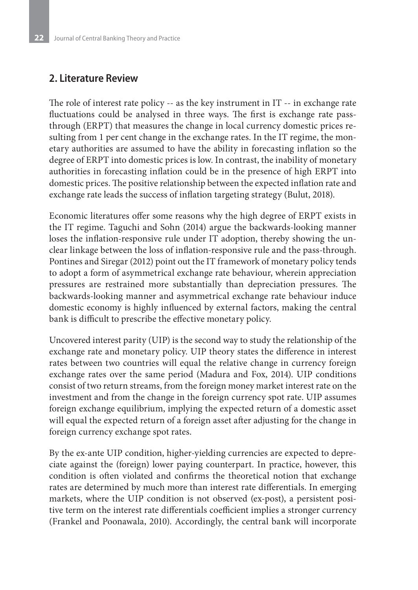### **2. Literature Review**

The role of interest rate policy -- as the key instrument in IT -- in exchange rate fluctuations could be analysed in three ways. The first is exchange rate passthrough (ERPT) that measures the change in local currency domestic prices resulting from 1 per cent change in the exchange rates. In the IT regime, the monetary authorities are assumed to have the ability in forecasting inflation so the degree of ERPT into domestic prices is low. In contrast, the inability of monetary authorities in forecasting inflation could be in the presence of high ERPT into domestic prices. The positive relationship between the expected inflation rate and exchange rate leads the success of inflation targeting strategy (Bulut, 2018).

Economic literatures offer some reasons why the high degree of ERPT exists in the IT regime. Taguchi and Sohn (2014) argue the backwards-looking manner loses the inflation-responsive rule under IT adoption, thereby showing the unclear linkage between the loss of inflation-responsive rule and the pass-through. Pontines and Siregar (2012) point out the IT framework of monetary policy tends to adopt a form of asymmetrical exchange rate behaviour, wherein appreciation pressures are restrained more substantially than depreciation pressures. The backwards-looking manner and asymmetrical exchange rate behaviour induce domestic economy is highly influenced by external factors, making the central bank is difficult to prescribe the effective monetary policy.

Uncovered interest parity (UIP) is the second way to study the relationship of the exchange rate and monetary policy. UIP theory states the difference in interest rates between two countries will equal the relative change in currency foreign exchange rates over the same period (Madura and Fox, 2014). UIP conditions consist of two return streams, from the foreign money market interest rate on the investment and from the change in the foreign currency spot rate. UIP assumes foreign exchange equilibrium, implying the expected return of a domestic asset will equal the expected return of a foreign asset after adjusting for the change in foreign currency exchange spot rates.

By the ex-ante UIP condition, higher-yielding currencies are expected to depreciate against the (foreign) lower paying counterpart. In practice, however, this condition is often violated and confirms the theoretical notion that exchange rates are determined by much more than interest rate differentials. In emerging markets, where the UIP condition is not observed (ex-post), a persistent positive term on the interest rate differentials coefficient implies a stronger currency (Frankel and Poonawala, 2010). Accordingly, the central bank will incorporate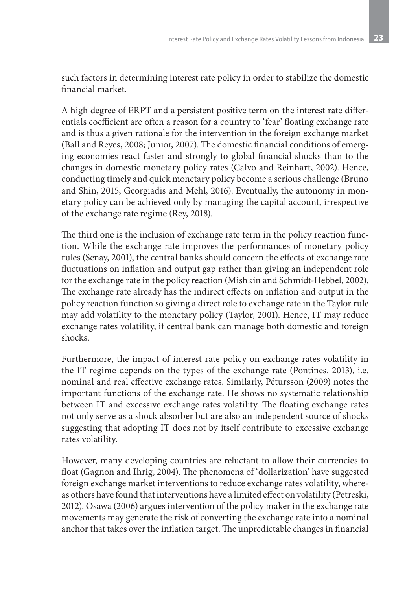such factors in determining interest rate policy in order to stabilize the domestic financial market.

A high degree of ERPT and a persistent positive term on the interest rate differentials coefficient are often a reason for a country to 'fear' floating exchange rate and is thus a given rationale for the intervention in the foreign exchange market (Ball and Reyes, 2008; Junior, 2007). The domestic financial conditions of emerging economies react faster and strongly to global financial shocks than to the changes in domestic monetary policy rates (Calvo and Reinhart, 2002). Hence, conducting timely and quick monetary policy become a serious challenge (Bruno and Shin, 2015; Georgiadis and Mehl, 2016). Eventually, the autonomy in monetary policy can be achieved only by managing the capital account, irrespective of the exchange rate regime (Rey, 2018).

The third one is the inclusion of exchange rate term in the policy reaction function. While the exchange rate improves the performances of monetary policy rules (Senay, 2001), the central banks should concern the effects of exchange rate fluctuations on inflation and output gap rather than giving an independent role for the exchange rate in the policy reaction (Mishkin and Schmidt-Hebbel, 2002). The exchange rate already has the indirect effects on inflation and output in the policy reaction function so giving a direct role to exchange rate in the Taylor rule may add volatility to the monetary policy (Taylor, 2001). Hence, IT may reduce exchange rates volatility, if central bank can manage both domestic and foreign shocks.

Furthermore, the impact of interest rate policy on exchange rates volatility in the IT regime depends on the types of the exchange rate (Pontines, 2013), i.e. nominal and real effective exchange rates. Similarly, Pétursson (2009) notes the important functions of the exchange rate. He shows no systematic relationship between IT and excessive exchange rates volatility. The floating exchange rates not only serve as a shock absorber but are also an independent source of shocks suggesting that adopting IT does not by itself contribute to excessive exchange rates volatility.

However, many developing countries are reluctant to allow their currencies to float (Gagnon and Ihrig, 2004). The phenomena of 'dollarization' have suggested foreign exchange market interventions to reduce exchange rates volatility, whereas others have found that interventions have a limited effect on volatility (Petreski, 2012). Osawa (2006) argues intervention of the policy maker in the exchange rate movements may generate the risk of converting the exchange rate into a nominal anchor that takes over the inflation target. The unpredictable changes in financial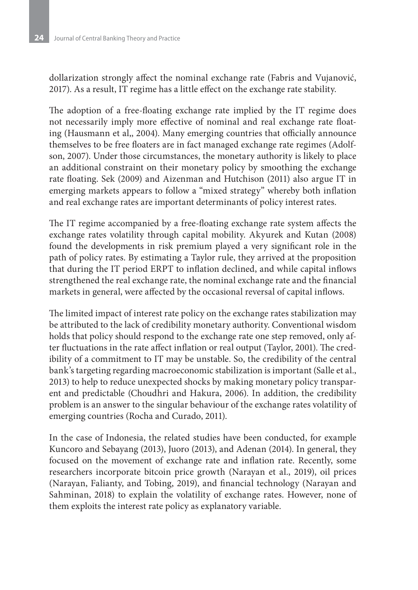dollarization strongly affect the nominal exchange rate (Fabris and Vujanović, 2017). As a result, IT regime has a little effect on the exchange rate stability.

The adoption of a free-floating exchange rate implied by the IT regime does not necessarily imply more effective of nominal and real exchange rate floating (Hausmann et al,, 2004). Many emerging countries that officially announce themselves to be free floaters are in fact managed exchange rate regimes (Adolfson, 2007). Under those circumstances, the monetary authority is likely to place an additional constraint on their monetary policy by smoothing the exchange rate floating. Sek (2009) and Aizenman and Hutchison (2011) also argue IT in emerging markets appears to follow a "mixed strategy" whereby both inflation and real exchange rates are important determinants of policy interest rates.

The IT regime accompanied by a free-floating exchange rate system affects the exchange rates volatility through capital mobility. Akyurek and Kutan (2008) found the developments in risk premium played a very significant role in the path of policy rates. By estimating a Taylor rule, they arrived at the proposition that during the IT period ERPT to inflation declined, and while capital inflows strengthened the real exchange rate, the nominal exchange rate and the financial markets in general, were affected by the occasional reversal of capital inflows.

The limited impact of interest rate policy on the exchange rates stabilization may be attributed to the lack of credibility monetary authority. Conventional wisdom holds that policy should respond to the exchange rate one step removed, only after fluctuations in the rate affect inflation or real output (Taylor, 2001). The credibility of a commitment to IT may be unstable. So, the credibility of the central bank's targeting regarding macroeconomic stabilization is important (Salle et al., 2013) to help to reduce unexpected shocks by making monetary policy transparent and predictable (Choudhri and Hakura, 2006). In addition, the credibility problem is an answer to the singular behaviour of the exchange rates volatility of emerging countries (Rocha and Curado, 2011).

In the case of Indonesia, the related studies have been conducted, for example Kuncoro and Sebayang (2013), Juoro (2013), and Adenan (2014). In general, they focused on the movement of exchange rate and inflation rate. Recently, some researchers incorporate bitcoin price growth (Narayan et al., 2019), oil prices (Narayan, Falianty, and Tobing, 2019), and financial technology (Narayan and Sahminan, 2018) to explain the volatility of exchange rates. However, none of them exploits the interest rate policy as explanatory variable.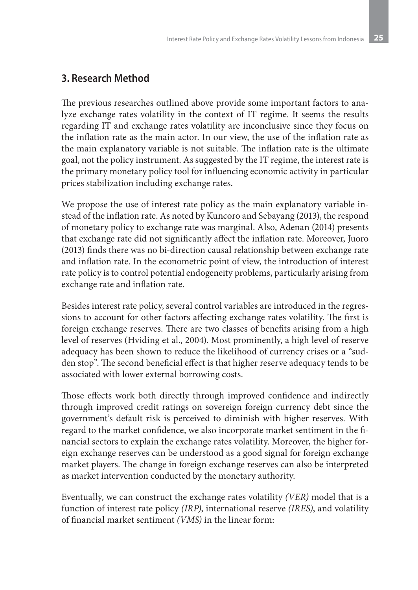# **3. Research Method**

The previous researches outlined above provide some important factors to analyze exchange rates volatility in the context of IT regime. It seems the results regarding IT and exchange rates volatility are inconclusive since they focus on the inflation rate as the main actor. In our view, the use of the inflation rate as the main explanatory variable is not suitable. The inflation rate is the ultimate goal, not the policy instrument. As suggested by the IT regime, the interest rate is the primary monetary policy tool for influencing economic activity in particular prices stabilization including exchange rates.

We propose the use of interest rate policy as the main explanatory variable instead of the inflation rate. As noted by Kuncoro and Sebayang (2013), the respond of monetary policy to exchange rate was marginal. Also, Adenan (2014) presents that exchange rate did not significantly affect the inflation rate. Moreover, Juoro (2013) finds there was no bi-direction causal relationship between exchange rate and inflation rate. In the econometric point of view, the introduction of interest rate policy is to control potential endogeneity problems, particularly arising from exchange rate and inflation rate.

Besides interest rate policy, several control variables are introduced in the regressions to account for other factors affecting exchange rates volatility. The first is foreign exchange reserves. There are two classes of benefits arising from a high level of reserves (Hviding et al., 2004). Most prominently, a high level of reserve adequacy has been shown to reduce the likelihood of currency crises or a "sudden stop". The second beneficial effect is that higher reserve adequacy tends to be associated with lower external borrowing costs.

Those effects work both directly through improved confidence and indirectly through improved credit ratings on sovereign foreign currency debt since the government's default risk is perceived to diminish with higher reserves. With regard to the market confidence, we also incorporate market sentiment in the financial sectors to explain the exchange rates volatility. Moreover, the higher foreign exchange reserves can be understood as a good signal for foreign exchange market players. The change in foreign exchange reserves can also be interpreted as market intervention conducted by the monetary authority.

Eventually, we can construct the exchange rates volatility *(VER)* model that is a function of interest rate policy *(IRP)*, international reserve *(IRES)*, and volatility of financial market sentiment *(VMS)* in the linear form: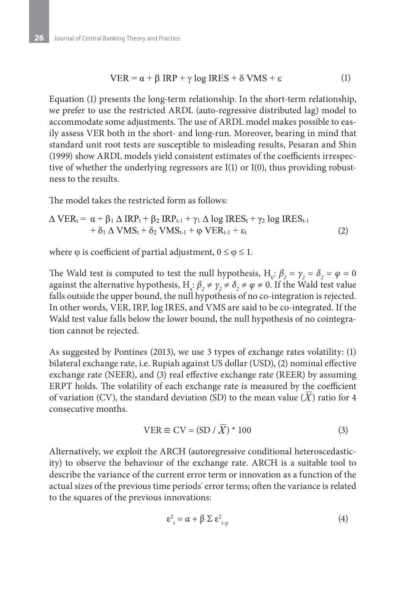$$
VER = \alpha + \beta \, IRP + \gamma \log \, IRES + \delta \, VMS + \varepsilon \tag{1}
$$

Equation (1) presents the long-term relationship. In the short-term relationship, we prefer to use the restricted ARDL (auto-regressive distributed lag) model to accommodate some adjustments. The use of ARDL model makes possible to easily assess VER both in the short- and long-run. Moreover, bearing in mind that standard unit root tests are susceptible to misleading results, Pesaran and Shin (1999) show ARDL models yield consistent estimates of the coefficients irrespective of whether the underlying regressors are I(1) or I(0), thus providing robustness to the results.

The model takes the restricted form as follows:

$$
\Delta VER_t = \alpha + \beta_1 \Delta IRP_t + \beta_2 IRP_{t-1} + \gamma_1 \Delta \log IRES_t + \gamma_2 \log IRES_{t-1} + \delta_1 \Delta VMS_t + \delta_2 VMS_{t-1} + \varphi VER_{t-1} + \varepsilon_t
$$
\n(2)

where  $\varphi$  is coefficient of partial adjustment,  $0 \le \varphi \le 1$ .

The Wald test is computed to test the null hypothesis,  $H_0$ :  $\beta_2 = \gamma_2 = \delta_2 = \varphi = 0$ against the alternative hypothesis,  $H_a: \beta_2 \neq \gamma_2 \neq \delta_2 \neq \varphi \neq 0$ . If the Wald test value falls outside the upper bound, the null hypothesis of no co-integration is rejected. In other words, VER, IRP, log IRES, and VMS are said to be co-integrated. If the Wald test value falls below the lower bound, the null hypothesis of no cointegration cannot be rejected.

As suggested by Pontines (2013), we use 3 types of exchange rates volatility: (1) bilateral exchange rate, i.e. Rupiah against US dollar (USD), (2) nominal effective exchange rate (NEER), and (3) real effective exchange rate (REER) by assuming ERPT holds. The volatility of each exchange rate is measured by the coefficient of variation (CV), the standard deviation (SD) to the mean value (X) ratio for 4 consecutive months.

$$
VER \equiv CV = (SD / X) * 100 \tag{3}
$$

Alternatively, we exploit the ARCH (autoregressive conditional heteroscedasticity) to observe the behaviour of the exchange rate. ARCH is a suitable tool to describe the variance of the current error term or innovation as a function of the actual sizes of the previous time periods' error terms; often the variance is related to the squares of the previous innovations:

$$
\varepsilon_{\rm t}^2 = \alpha + \beta \Sigma \varepsilon_{\rm t\cdot p}^2 \tag{4}
$$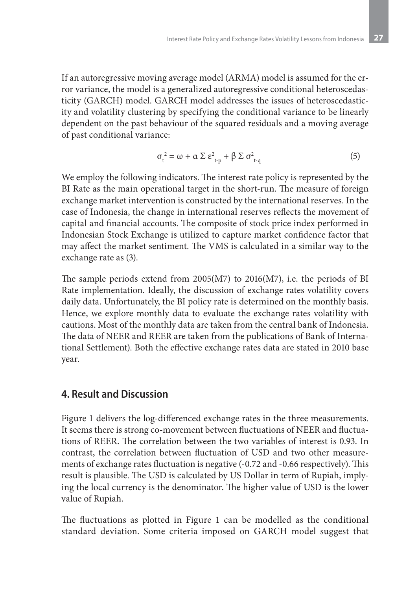If an autoregressive moving average model (ARMA) model is assumed for the error variance, the model is a generalized autoregressive conditional heteroscedasticity (GARCH) model. GARCH model addresses the issues of heteroscedasticity and volatility clustering by specifying the conditional variance to be linearly dependent on the past behaviour of the squared residuals and a moving average of past conditional variance:

$$
\sigma_{t}^{2} = \omega + \alpha \sum \varepsilon_{t-p}^{2} + \beta \sum \sigma_{t-q}^{2}
$$
 (5)

We employ the following indicators. The interest rate policy is represented by the BI Rate as the main operational target in the short-run. The measure of foreign exchange market intervention is constructed by the international reserves. In the case of Indonesia, the change in international reserves reflects the movement of capital and financial accounts. The composite of stock price index performed in Indonesian Stock Exchange is utilized to capture market confidence factor that may affect the market sentiment. The VMS is calculated in a similar way to the exchange rate as (3).

The sample periods extend from 2005(M7) to 2016(M7), i.e. the periods of BI Rate implementation. Ideally, the discussion of exchange rates volatility covers daily data. Unfortunately, the BI policy rate is determined on the monthly basis. Hence, we explore monthly data to evaluate the exchange rates volatility with cautions. Most of the monthly data are taken from the central bank of Indonesia. The data of NEER and REER are taken from the publications of Bank of International Settlement). Both the effective exchange rates data are stated in 2010 base year.

### **4. Result and Discussion**

Figure 1 delivers the log-differenced exchange rates in the three measurements. It seems there is strong co-movement between fluctuations of NEER and fluctuations of REER. The correlation between the two variables of interest is 0.93. In contrast, the correlation between fluctuation of USD and two other measurements of exchange rates fluctuation is negative (-0.72 and -0.66 respectively). This result is plausible. The USD is calculated by US Dollar in term of Rupiah, implying the local currency is the denominator. The higher value of USD is the lower value of Rupiah.

The fluctuations as plotted in Figure 1 can be modelled as the conditional standard deviation. Some criteria imposed on GARCH model suggest that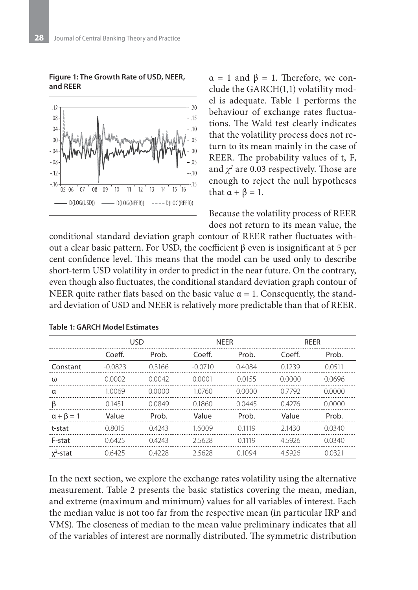**Figure 1: The Growth Rate of USD, NEER, and REER**



 $\alpha = 1$  and  $\beta = 1$ . Therefore, we conclude the GARCH(1,1) volatility model is adequate. Table 1 performs the behaviour of exchange rates fluctuations. The Wald test clearly indicates that the volatility process does not return to its mean mainly in the case of REER. The probability values of t, F, and  $\chi^2$  are 0.03 respectively. Those are enough to reject the null hypotheses that  $\alpha + \beta = 1$ .

Because the volatility process of REER does not return to its mean value, the

conditional standard deviation graph contour of REER rather fluctuates without a clear basic pattern. For USD, the coefficient β even is insignificant at 5 per cent confidence level. This means that the model can be used only to describe short-term USD volatility in order to predict in the near future. On the contrary, even though also fluctuates, the conditional standard deviation graph contour of NEER quite rather flats based on the basic value  $\alpha = 1$ . Consequently, the standard deviation of USD and NEER is relatively more predictable than that of REER.

|                      | <b>USD</b> |        | <b>NEER</b> |        | <b>REER</b> |        |
|----------------------|------------|--------|-------------|--------|-------------|--------|
|                      | Coeff.     | Prob.  | Coeff.      | Prob.  | Coeff.      | Prob.  |
| Constant             | $-0.0823$  | 0.3166 | $-0.0710$   | 0.4084 | 0.1239      | 0.0511 |
| ω                    | 0.0002     | 0.0042 | 0.0001      | 0.0155 | 0.0000      | 0.0696 |
| α                    | 1.0069     | 0.0000 | 1.0760      | 0.0000 | 07792       | 0.0000 |
| β                    | 0.1451     | 0.0849 | 0.1860      | 0.0445 | 0.4276      | 0.0000 |
| $\alpha + \beta = 1$ | Value      | Prob.  | Value       | Prob.  | Value       | Prob.  |
| t-stat               | 0.8015     | 0.4243 | 1.6009      | 0.1119 | 2.1430      | 0.0340 |
| F-stat               | 0.6425     | 0.4243 | 2.5628      | 0.1119 | 4.5926      | 0.0340 |
| $x^2$ -stat          | 0.6425     | 0.4228 | 2.5628      | 0.1094 | 4.5926      | 0.0321 |

**Table 1: GARCH Model Estimates**

In the next section, we explore the exchange rates volatility using the alternative measurement. Table 2 presents the basic statistics covering the mean, median, and extreme (maximum and minimum) values for all variables of interest. Each the median value is not too far from the respective mean (in particular IRP and VMS). The closeness of median to the mean value preliminary indicates that all of the variables of interest are normally distributed. The symmetric distribution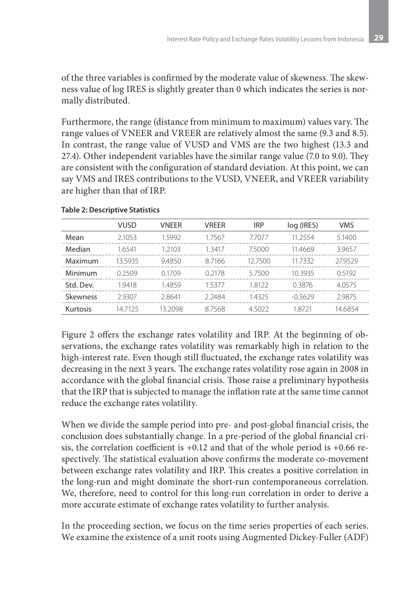of the three variables is confirmed by the moderate value of skewness. The skewness value of log IRES is slightly greater than 0 which indicates the series is normally distributed.

Furthermore, the range (distance from minimum to maximum) values vary. The range values of VNEER and VREER are relatively almost the same (9.3 and 8.5). In contrast, the range value of VUSD and VMS are the two highest (13.3 and 27.4). Other independent variables have the similar range value (7.0 to 9.0). They are consistent with the configuration of standard deviation. At this point, we can say VMS and IRES contributions to the VUSD, VNEER, and VREER variability are higher than that of IRP.

|           | <b>VUSD</b> | <b>VNEER</b> | <b>VREER</b> | <b>IRP</b> | log (IRES) | <b>VMS</b> |
|-----------|-------------|--------------|--------------|------------|------------|------------|
| Mean      | 2.1053      | 1.5992       | 1.7567       | 7.7077     | 11.2554    | 5.1400     |
| Median    | 1.6541      | 1 2103       | 13417        | 7.5000     | 11.4669    | 39657      |
| Maximum   | 13.5935     | 9.4850       | 8.7166       | 12.7500    | 11.7332    | 279529     |
| Minimum   | በ 2509      | 0.1709       | 0 2178       | 5.7500     | 103935     | 0.5192     |
| Std. Dev. | 1.9418      | 1.4859       | 15377        | 1.8122     | 0.3876     | 4.0575     |
| Skewness  | 29307       | 2.8641       | 2.2484       | 1.4325     | $-0.5629$  | 2.9875     |
| Kurtosis  | 14.7125     | 13.2098      | 8.7568       | 4.5022     | 1 8721     | 14.6854    |

#### **Table 2: Descriptive Statistics**

Figure 2 offers the exchange rates volatility and IRP. At the beginning of observations, the exchange rates volatility was remarkably high in relation to the high-interest rate. Even though still fluctuated, the exchange rates volatility was decreasing in the next 3 years. The exchange rates volatility rose again in 2008 in accordance with the global financial crisis. Those raise a preliminary hypothesis that the IRP that is subjected to manage the inflation rate at the same time cannot reduce the exchange rates volatility.

When we divide the sample period into pre- and post-global financial crisis, the conclusion does substantially change. In a pre-period of the global financial crisis, the correlation coefficient is  $+0.12$  and that of the whole period is  $+0.66$  respectively. The statistical evaluation above confirms the moderate co-movement between exchange rates volatility and IRP. This creates a positive correlation in the long-run and might dominate the short-run contemporaneous correlation. We, therefore, need to control for this long-run correlation in order to derive a more accurate estimate of exchange rates volatility to further analysis.

In the proceeding section, we focus on the time series properties of each series. We examine the existence of a unit roots using Augmented Dickey-Fuller (ADF)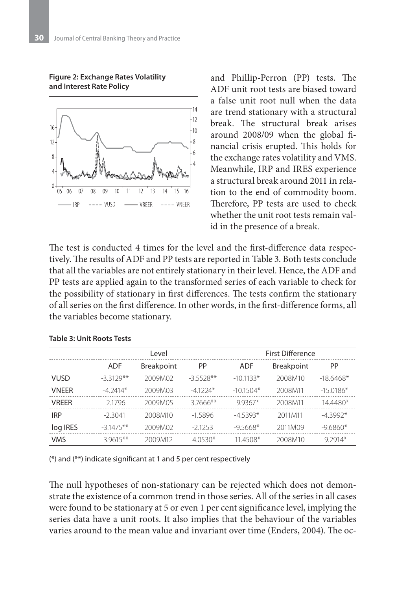**Figure 2: Exchange Rates Volatility and Interest Rate Policy**



and Phillip-Perron (PP) tests. The ADF unit root tests are biased toward a false unit root null when the data are trend stationary with a structural break. The structural break arises around 2008/09 when the global financial crisis erupted. This holds for the exchange rates volatility and VMS. Meanwhile, IRP and IRES experience a structural break around 2011 in relation to the end of commodity boom. Therefore, PP tests are used to check whether the unit root tests remain valid in the presence of a break.

The test is conducted 4 times for the level and the first-difference data respectively. The results of ADF and PP tests are reported in Table 3. Both tests conclude that all the variables are not entirely stationary in their level. Hence, the ADF and PP tests are applied again to the transformed series of each variable to check for the possibility of stationary in first differences. The tests confirm the stationary of all series on the first difference. In other words, in the first-difference forms, all the variables become stationary.

|              | Level       |                   |             | <b>First Difference</b> |                   |            |
|--------------|-------------|-------------------|-------------|-------------------------|-------------------|------------|
|              | <b>ADF</b>  | <b>Breakpoint</b> | <b>PP</b>   | <b>ADF</b>              | <b>Breakpoint</b> | <b>PP</b>  |
| <b>VUSD</b>  | $-33129**$  | 2009M02           | $-35528**$  | $-101133*$              | 2008M10           | $-186468*$ |
| <b>VNFFR</b> | $-4.2414*$  | 2009M03           | $-41224*$   | $-101504*$              | 2008M11           | $-150186*$ |
| <b>VRFFR</b> | $-21796$    | 2009M05           | $-37666$ ** | $-99367*$               | 2008M11           | $-144480*$ |
| <b>IRP</b>   | -23041      | 2008M10           | $-15896$    | $-45393*$               | 2011M11           | $-43992*$  |
| log IRES     | $-3.1475**$ | 2009M02           | $-21253$    | $-9.5668*$              | 2011M09           | $-96860*$  |
| <b>VMS</b>   | $-39615**$  | 2009M12           | $-40530*$   | $-114508*$              | 2008M10           | $-9.2914*$ |

### **Table 3: Unit Roots Tests**

(\*) and (\*\*) indicate significant at 1 and 5 per cent respectively

The null hypotheses of non-stationary can be rejected which does not demonstrate the existence of a common trend in those series. All of the series in all cases were found to be stationary at 5 or even 1 per cent significance level, implying the series data have a unit roots. It also implies that the behaviour of the variables varies around to the mean value and invariant over time (Enders, 2004). The oc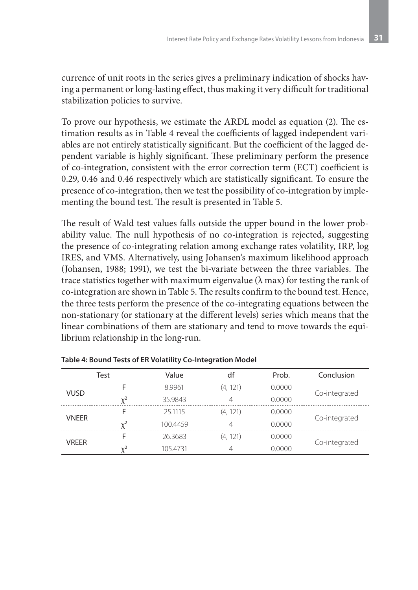currence of unit roots in the series gives a preliminary indication of shocks having a permanent or long-lasting effect, thus making it very difficult for traditional stabilization policies to survive.

To prove our hypothesis, we estimate the ARDL model as equation (2). The estimation results as in Table 4 reveal the coefficients of lagged independent variables are not entirely statistically significant. But the coefficient of the lagged dependent variable is highly significant. These preliminary perform the presence of co-integration, consistent with the error correction term (ECT) coefficient is 0.29, 0.46 and 0.46 respectively which are statistically significant. To ensure the presence of co-integration, then we test the possibility of co-integration by implementing the bound test. The result is presented in Table 5.

The result of Wald test values falls outside the upper bound in the lower probability value. The null hypothesis of no co-integration is rejected, suggesting the presence of co-integrating relation among exchange rates volatility, IRP, log IRES, and VMS. Alternatively, using Johansen's maximum likelihood approach (Johansen, 1988; 1991), we test the bi-variate between the three variables. The trace statistics together with maximum eigenvalue ( $\lambda$  max) for testing the rank of co-integration are shown in Table 5. The results confirm to the bound test. Hence, the three tests perform the presence of the co-integrating equations between the non-stationary (or stationary at the different levels) series which means that the linear combinations of them are stationary and tend to move towards the equilibrium relationship in the long-run.

| Test         |            | Value    | df       | Prob.  | Conclusion    |  |
|--------------|------------|----------|----------|--------|---------------|--|
|              |            | 8.9961   | (4, 121) | 0.0000 |               |  |
| <b>VUSD</b>  | $v^2$      | 35.9843  | 4        | 0.0000 | Co-integrated |  |
| <b>VNEER</b> |            | 25.1115  | (4, 121) | 0.0000 |               |  |
|              | $v^2$      | 100.4459 | $\Delta$ | 0.0000 | Co-integrated |  |
|              |            | 26.3683  | (4.121)  | 0.0000 |               |  |
| <b>VREER</b> | $\sqrt{2}$ | 105.4731 | 4        | 0.0000 | Co-integrated |  |

**Table 4: Bound Tests of ER Volatility Co-Integration Model**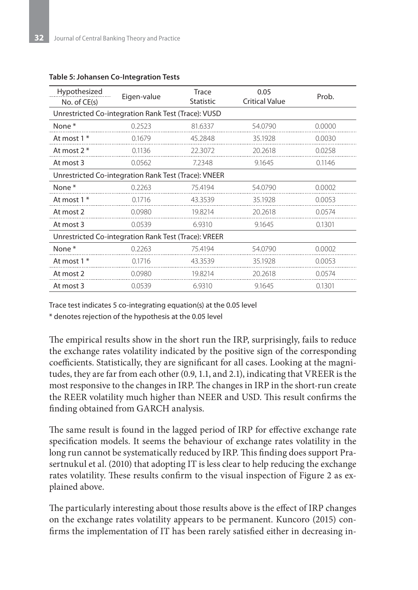| Hypothesized<br>No. of CE(s)                         | Eigen-value | Trace<br><b>Statistic</b> | 0.05<br><b>Critical Value</b> | Prob.  |  |  |  |  |
|------------------------------------------------------|-------------|---------------------------|-------------------------------|--------|--|--|--|--|
| Unrestricted Co-integration Rank Test (Trace): VUSD  |             |                           |                               |        |  |  |  |  |
| None <sup>*</sup>                                    | 0.2523      | 81.6337                   | 54.0790                       | 0.0000 |  |  |  |  |
| At most 1 *                                          | 0.1679      | 45.2848                   | 35.1928                       | 0.0030 |  |  |  |  |
| At most $2^*$                                        | 0.1136      | 22.3072                   | 20.2618                       | 0.0258 |  |  |  |  |
| At most 3                                            | 0.0562      | 7.2348                    | 9.1645                        | 0.1146 |  |  |  |  |
| Unrestricted Co-integration Rank Test (Trace): VNEER |             |                           |                               |        |  |  |  |  |
| None*                                                | 0.2263      | 75.4194                   | 54.0790                       | 0.0002 |  |  |  |  |
| At most 1 *                                          | 0.1716      | 43.3539                   | 35.1928                       | 0.0053 |  |  |  |  |
| At most 2                                            | 0.0980      | 19.8214                   | 20.2618                       | 0.0574 |  |  |  |  |
| At most 3                                            | 0.0539      | 6.9310                    | 9.1645                        | 0.1301 |  |  |  |  |
| Unrestricted Co-integration Rank Test (Trace): VREER |             |                           |                               |        |  |  |  |  |
| None*                                                | 0.2263      | 75.4194                   | 54.0790                       | 0.0002 |  |  |  |  |
| At most 1 *                                          | 0.1716      | 43.3539                   | 35.1928                       | 0.0053 |  |  |  |  |
| At most 2                                            | 0.0980      | 19.8214                   | 20.2618                       | 0.0574 |  |  |  |  |
| At most 3                                            | 0.0539      | 6.9310                    | 9.1645                        | 0.1301 |  |  |  |  |

#### **Table 5: Johansen Co-Integration Tests**

Trace test indicates 5 co-integrating equation(s) at the 0.05 level

\* denotes rejection of the hypothesis at the 0.05 level

The empirical results show in the short run the IRP, surprisingly, fails to reduce the exchange rates volatility indicated by the positive sign of the corresponding coefficients. Statistically, they are significant for all cases. Looking at the magnitudes, they are far from each other (0.9, 1.1, and 2.1), indicating that VREER is the most responsive to the changes in IRP. The changes in IRP in the short-run create the REER volatility much higher than NEER and USD. This result confirms the finding obtained from GARCH analysis.

The same result is found in the lagged period of IRP for effective exchange rate specification models. It seems the behaviour of exchange rates volatility in the long run cannot be systematically reduced by IRP. This finding does support Prasertnukul et al. (2010) that adopting IT is less clear to help reducing the exchange rates volatility. These results confirm to the visual inspection of Figure 2 as explained above.

The particularly interesting about those results above is the effect of IRP changes on the exchange rates volatility appears to be permanent. Kuncoro (2015) confirms the implementation of IT has been rarely satisfied either in decreasing in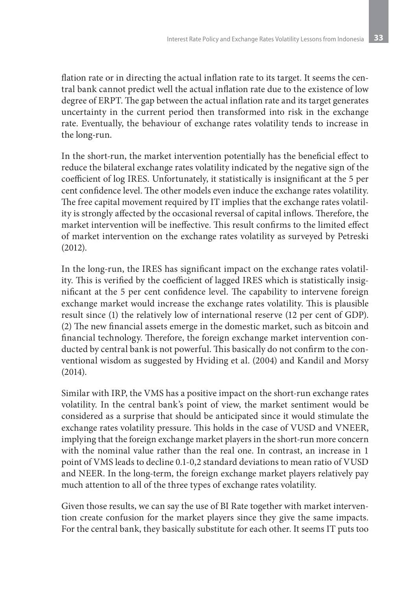flation rate or in directing the actual inflation rate to its target. It seems the central bank cannot predict well the actual inflation rate due to the existence of low degree of ERPT. The gap between the actual inflation rate and its target generates uncertainty in the current period then transformed into risk in the exchange rate. Eventually, the behaviour of exchange rates volatility tends to increase in the long-run.

In the short-run, the market intervention potentially has the beneficial effect to reduce the bilateral exchange rates volatility indicated by the negative sign of the coefficient of log IRES. Unfortunately, it statistically is insignificant at the 5 per cent confidence level. The other models even induce the exchange rates volatility. The free capital movement required by IT implies that the exchange rates volatility is strongly affected by the occasional reversal of capital inflows. Therefore, the market intervention will be ineffective. This result confirms to the limited effect of market intervention on the exchange rates volatility as surveyed by Petreski (2012).

In the long-run, the IRES has significant impact on the exchange rates volatility. This is verified by the coefficient of lagged IRES which is statistically insignificant at the 5 per cent confidence level. The capability to intervene foreign exchange market would increase the exchange rates volatility. This is plausible result since (1) the relatively low of international reserve (12 per cent of GDP). (2) The new financial assets emerge in the domestic market, such as bitcoin and financial technology. Therefore, the foreign exchange market intervention conducted by central bank is not powerful. This basically do not confirm to the conventional wisdom as suggested by Hviding et al. (2004) and Kandil and Morsy (2014).

Similar with IRP, the VMS has a positive impact on the short-run exchange rates volatility. In the central bank's point of view, the market sentiment would be considered as a surprise that should be anticipated since it would stimulate the exchange rates volatility pressure. This holds in the case of VUSD and VNEER, implying that the foreign exchange market players in the short-run more concern with the nominal value rather than the real one. In contrast, an increase in 1 point of VMS leads to decline 0.1-0,2 standard deviations to mean ratio of VUSD and NEER. In the long-term, the foreign exchange market players relatively pay much attention to all of the three types of exchange rates volatility.

Given those results, we can say the use of BI Rate together with market intervention create confusion for the market players since they give the same impacts. For the central bank, they basically substitute for each other. It seems IT puts too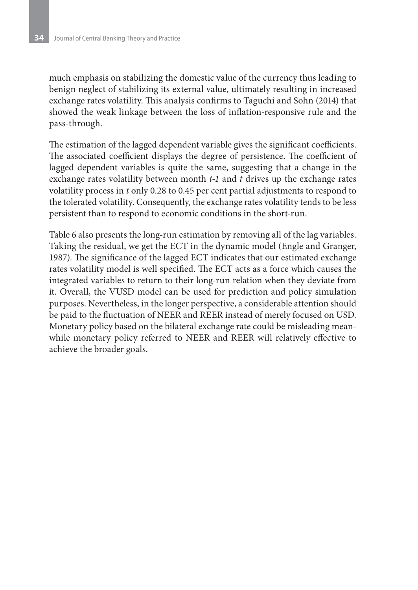much emphasis on stabilizing the domestic value of the currency thus leading to benign neglect of stabilizing its external value, ultimately resulting in increased exchange rates volatility. This analysis confirms to Taguchi and Sohn (2014) that showed the weak linkage between the loss of inflation-responsive rule and the pass-through.

The estimation of the lagged dependent variable gives the significant coefficients. The associated coefficient displays the degree of persistence. The coefficient of lagged dependent variables is quite the same, suggesting that a change in the exchange rates volatility between month *t-1* and *t* drives up the exchange rates volatility process in *t* only 0.28 to 0.45 per cent partial adjustments to respond to the tolerated volatility. Consequently, the exchange rates volatility tends to be less persistent than to respond to economic conditions in the short-run.

Table 6 also presents the long-run estimation by removing all of the lag variables. Taking the residual, we get the ECT in the dynamic model (Engle and Granger, 1987). The significance of the lagged ECT indicates that our estimated exchange rates volatility model is well specified. The ECT acts as a force which causes the integrated variables to return to their long-run relation when they deviate from it. Overall, the VUSD model can be used for prediction and policy simulation purposes. Nevertheless, in the longer perspective, a considerable attention should be paid to the fluctuation of NEER and REER instead of merely focused on USD. Monetary policy based on the bilateral exchange rate could be misleading meanwhile monetary policy referred to NEER and REER will relatively effective to achieve the broader goals.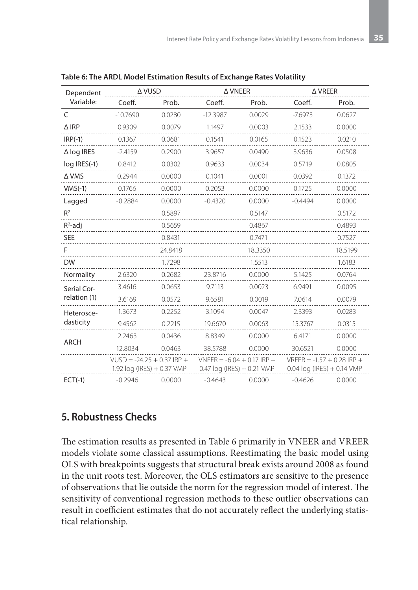| Dependent         | A VUSD                       |         |                              | Δ VNEER                               |                                       | $\triangle$ VREER |  |
|-------------------|------------------------------|---------|------------------------------|---------------------------------------|---------------------------------------|-------------------|--|
| Variable:         | Coeff.                       | Prob.   | Coeff.                       | Prob.                                 | Coeff.                                | Prob.             |  |
| $\subset$         | $-10.7690$                   | 0.0280  | $-12.3987$                   | 0.0029                                | $-7.6973$                             | 0.0627            |  |
| $\triangle$ IRP   | 0.9309                       | 0.0079  | 1.1497                       | 0.0003                                | 2.1533                                | 0.0000            |  |
| $IRP(-1)$         | 0.1367                       | 0.0681  | 0.1541                       | 0.0165                                | 0.1523                                | 0.0210            |  |
| $\Delta$ log IRES | $-2.4159$                    | 0.2900  | 3.9657                       | 0.0490                                | 3.9636                                | 0.0508            |  |
| log IRES(-1)      | 0.8412                       | 0.0302  | 0.9633                       | 0.0034                                | 0.5719                                | 0.0805            |  |
| Δ VMS             | 0.2944                       | 0.0000  | 0.1041                       | 0.0001                                | 0.0392                                | 0.1372            |  |
| $VMS(-1)$         | 0.1766                       | 0.0000  | 0.2053                       | 0.0000                                | 0.1725                                | 0.0000            |  |
| Lagged            | $-0.2884$                    | 0.0000  | $-0.4320$                    | 0.0000                                | $-0.4494$                             | 0.0000            |  |
| R <sup>2</sup>    |                              | 0.5897  |                              | 0.5147                                |                                       | 0.5172            |  |
| $R^2$ -adj        |                              | 0.5659  |                              | 0.4867                                |                                       | 0.4893            |  |
| <b>SEE</b>        |                              | 0.8431  |                              | 0.7471                                |                                       | 0.7527            |  |
| F                 |                              | 24.8418 |                              | 18.3350                               |                                       | 18.5199           |  |
| DW                |                              | 1.7298  |                              | 1.5513                                |                                       | 1.6183            |  |
| Normality         | 2.6320                       | 0.2682  | 23.8716                      | 0.0000                                | 5.1425                                | 0.0764            |  |
| Serial Cor-       | 3.4616                       | 0.0653  | 9.7113                       | 0.0023                                | 6.9491                                | 0.0095            |  |
| relation (1)      | 3.6169                       | 0.0572  | 9.6581                       | 0.0019                                | 7.0614                                | 0.0079            |  |
| Heterosce-        | 1.3673                       | 0.2252  | 3.1094                       | 0.0047                                | 2.3393                                | 0.0283            |  |
| dasticity         | 9.4562                       | 0.2215  | 19.6670                      | 0.0063                                | 15.3767                               | 0.0315            |  |
| <b>ARCH</b>       | 2.2463                       | 0.0436  | 8.8349                       | 0.0000                                | 6.4171                                | 0.0000            |  |
|                   | 12.8034                      | 0.0463  | 38.5788                      | 0.0000                                | 30.6521                               | 0.0000            |  |
|                   | $VUSD = -24.25 + 0.37$ IRP + |         | $VNFFR = -6.04 + 0.17$ IRP + |                                       | VRFFR = $-1.57 + 0.28$ IRP +          |                   |  |
|                   | 1.92 $log (1RES) + 0.37$ VMP |         |                              | $0.47 \log (lRES) + 0.21 \text{ VMP}$ | $0.04 \log (IRES) + 0.14 \text{ VMP}$ |                   |  |
| $ECT(-1)$         | $-0.2946$                    | 0.0000  | $-0.4643$                    | 0.0000                                | $-0.4626$                             | 0.0000            |  |

|  | Table 6: The ARDL Model Estimation Results of Exchange Rates Volatility |  |  |
|--|-------------------------------------------------------------------------|--|--|
|--|-------------------------------------------------------------------------|--|--|

### **5. Robustness Checks**

The estimation results as presented in Table 6 primarily in VNEER and VREER models violate some classical assumptions. Reestimating the basic model using OLS with breakpoints suggests that structural break exists around 2008 as found in the unit roots test. Moreover, the OLS estimators are sensitive to the presence of observations that lie outside the norm for the regression model of interest. The sensitivity of conventional regression methods to these outlier observations can result in coefficient estimates that do not accurately reflect the underlying statistical relationship.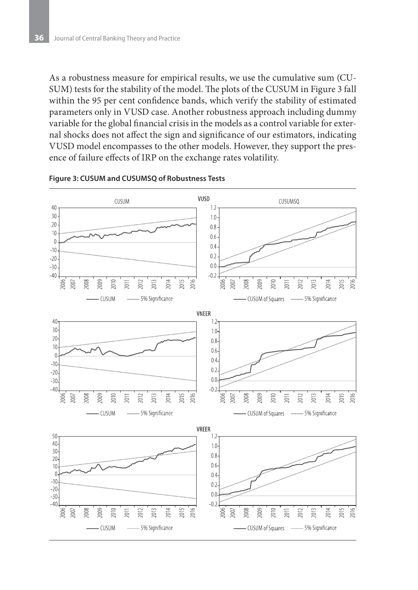As a robustness measure for empirical results, we use the cumulative sum (CU-SUM) tests for the stability of the model. The plots of the CUSUM in Figure 3 fall within the 95 per cent confidence bands, which verify the stability of estimated parameters only in VUSD case. Another robustness approach including dummy variable for the global financial crisis in the models as a control variable for external shocks does not affect the sign and significance of our estimators, indicating VUSD model encompasses to the other models. However, they support the presence of failure effects of IRP on the exchange rates volatility.



#### **Figure 3: CUSUM and CUSUMSQ of Robustness Tests**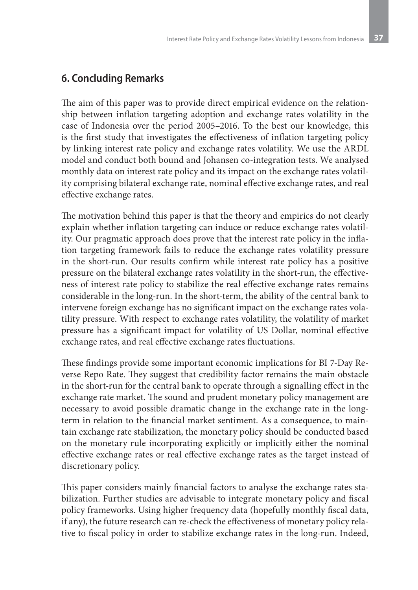# **6. Concluding Remarks**

The aim of this paper was to provide direct empirical evidence on the relationship between inflation targeting adoption and exchange rates volatility in the case of Indonesia over the period 2005–2016. To the best our knowledge, this is the first study that investigates the effectiveness of inflation targeting policy by linking interest rate policy and exchange rates volatility. We use the ARDL model and conduct both bound and Johansen co-integration tests. We analysed monthly data on interest rate policy and its impact on the exchange rates volatility comprising bilateral exchange rate, nominal effective exchange rates, and real effective exchange rates.

The motivation behind this paper is that the theory and empirics do not clearly explain whether inflation targeting can induce or reduce exchange rates volatility. Our pragmatic approach does prove that the interest rate policy in the inflation targeting framework fails to reduce the exchange rates volatility pressure in the short-run. Our results confirm while interest rate policy has a positive pressure on the bilateral exchange rates volatility in the short-run, the effectiveness of interest rate policy to stabilize the real effective exchange rates remains considerable in the long-run. In the short-term, the ability of the central bank to intervene foreign exchange has no significant impact on the exchange rates volatility pressure. With respect to exchange rates volatility, the volatility of market pressure has a significant impact for volatility of US Dollar, nominal effective exchange rates, and real effective exchange rates fluctuations.

These findings provide some important economic implications for BI 7-Day Reverse Repo Rate. They suggest that credibility factor remains the main obstacle in the short-run for the central bank to operate through a signalling effect in the exchange rate market. The sound and prudent monetary policy management are necessary to avoid possible dramatic change in the exchange rate in the longterm in relation to the financial market sentiment. As a consequence, to maintain exchange rate stabilization, the monetary policy should be conducted based on the monetary rule incorporating explicitly or implicitly either the nominal effective exchange rates or real effective exchange rates as the target instead of discretionary policy.

This paper considers mainly financial factors to analyse the exchange rates stabilization. Further studies are advisable to integrate monetary policy and fiscal policy frameworks. Using higher frequency data (hopefully monthly fiscal data, if any), the future research can re-check the effectiveness of monetary policy relative to fiscal policy in order to stabilize exchange rates in the long-run. Indeed,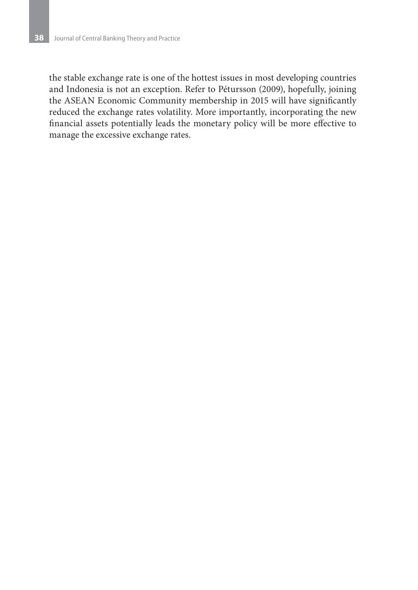the stable exchange rate is one of the hottest issues in most developing countries and Indonesia is not an exception. Refer to Pétursson (2009), hopefully, joining the ASEAN Economic Community membership in 2015 will have significantly reduced the exchange rates volatility. More importantly, incorporating the new financial assets potentially leads the monetary policy will be more effective to manage the excessive exchange rates.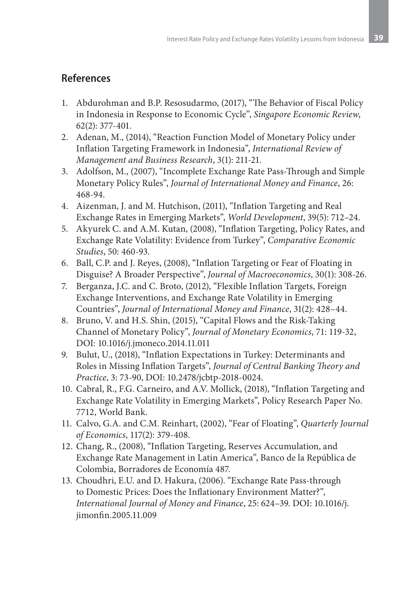# **References**

- 1. Abdurohman and B.P. Resosudarmo, (2017), "The Behavior of Fiscal Policy in Indonesia in Response to Economic Cycle", *Singapore Economic Review*, 62(2): 377-401.
- 2. Adenan, M., (2014), "Reaction Function Model of Monetary Policy under Inflation Targeting Framework in Indonesia", *International Review of Management and Business Research*, 3(1): 211-21.
- 3. Adolfson, M., (2007), "Incomplete Exchange Rate Pass-Through and Simple Monetary Policy Rules", *Journal of International Money and Finance*, 26: 468-94.
- 4. Aizenman, J. and M. Hutchison, (2011), "Inflation Targeting and Real Exchange Rates in Emerging Markets", *World Development*, 39(5): 712–24.
- 5. Akyurek C. and A.M. Kutan, (2008), "Inflation Targeting, Policy Rates, and Exchange Rate Volatility: Evidence from Turkey", *Comparative Economic Studies*, 50: 460-93.
- 6. Ball, C.P. and J. Reyes, (2008), "Inflation Targeting or Fear of Floating in Disguise? A Broader Perspective", *Journal of Macroeconomics*, 30(1): 308-26.
- 7. Berganza, J.C. and C. Broto, (2012), "Flexible Inflation Targets, Foreign Exchange Interventions, and Exchange Rate Volatility in Emerging Countries", *Journal of International Money and Finance*, 31(2): 428–44.
- 8. Bruno, V. and H.S. Shin, (2015), "Capital Flows and the Risk-Taking Channel of Monetary Policy", *Journal of Monetary Economics*, 71: 119-32, DOI: 10.1016/j.jmoneco.2014.11.011
- 9. Bulut, U., (2018), "Inflation Expectations in Turkey: Determinants and Roles in Missing Inflation Targets", *Journal of Central Banking Theory and Practice*, 3: 73-90, DOI: 10.2478/jcbtp-2018-0024.
- 10. Cabral, R., F.G. Carneiro, and A.V. Mollick, (2018), "Inflation Targeting and Exchange Rate Volatility in Emerging Markets", Policy Research Paper No. 7712, World Bank.
- 11. Calvo, G.A. and C.M. Reinhart, (2002), "Fear of Floating", *Quarterly Journal of Economics*, 117(2): 379-408.
- 12. Chang, R., (2008), "Inflation Targeting, Reserves Accumulation, and Exchange Rate Management in Latin America", Banco de la República de Colombia, Borradores de Economía 487.
- 13. Choudhri, E.U. and D. Hakura, (2006). "Exchange Rate Pass-through to Domestic Prices: Does the Inflationary Environment Matter?", *International Journal of Money and Finance*, 25: 624–39. DOI: 10.1016/j. jimonfin.2005.11.009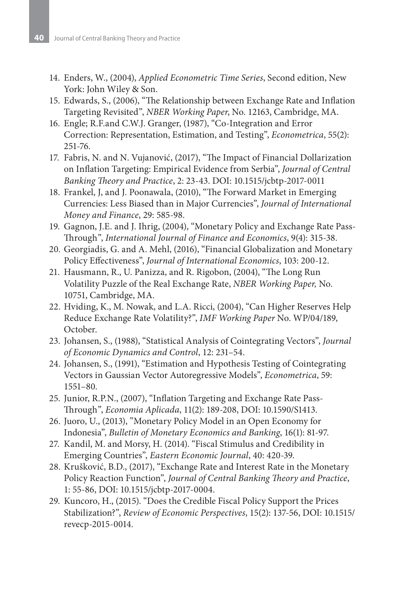- 14. Enders, W., (2004), *Applied Econometric Time Series*, Second edition, New York: John Wiley & Son.
- 15. Edwards, S., (2006), "The Relationship between Exchange Rate and Inflation Targeting Revisited", *NBER Working Paper*, No. 12163, Cambridge, MA.
- 16. Engle; R.F.and C.W.J. Granger, (1987), "Co-Integration and Error Correction: Representation, Estimation, and Testing", *Econometrica*, 55(2): 251-76.
- 17. Fabris, N. and N. Vujanović, (2017), "The Impact of Financial Dollarization on Inflation Targeting: Empirical Evidence from Serbia", *Journal of Central Banking Theory and Practice*, 2: 23-43. DOI: 10.1515/jcbtp-2017-0011
- 18. Frankel, J, and J. Poonawala, (2010), "The Forward Market in Emerging Currencies: Less Biased than in Major Currencies", *Journal of International Money and Finance*, 29: 585-98.
- 19. Gagnon, J.E. and J. Ihrig, (2004), "Monetary Policy and Exchange Rate Pass-Through", *International Journal of Finance and Economics*, 9(4): 315-38.
- 20. Georgiadis, G. and A. Mehl, (2016), "Financial Globalization and Monetary Policy Effectiveness", *Journal of International Economics*, 103: 200-12.
- 21. Hausmann, R., U. Panizza, and R. Rigobon, (2004), "The Long Run Volatility Puzzle of the Real Exchange Rate, *NBER Working Paper,* No. 10751, Cambridge, MA.
- 22. Hviding, K., M. Nowak, and L.A. Ricci, (2004), "Can Higher Reserves Help Reduce Exchange Rate Volatility?", *IMF Working Paper* No. WP/04/189, October.
- 23. Johansen, S., (1988), "Statistical Analysis of Cointegrating Vectors", *Journal of Economic Dynamics and Control*, 12: 231–54.
- 24. Johansen, S., (1991), "Estimation and Hypothesis Testing of Cointegrating Vectors in Gaussian Vector Autoregressive Models", *Econometrica*, 59: 1551–80.
- 25. Junior, R.P.N., (2007), "Inflation Targeting and Exchange Rate Pass-Through", *Economia Aplicada*, 11(2): 189-208, DOI: 10.1590/S1413.
- 26. Juoro, U., (2013), "Monetary Policy Model in an Open Economy for Indonesia", *Bulletin of Monetary Economics and Banking*, 16(1): 81-97.
- 27. Kandil, M. and Morsy, H. (2014). "Fiscal Stimulus and Credibility in Emerging Countries", *Eastern Economic Journal*, 40: 420-39.
- 28. Krušković, B.D., (2017), "Exchange Rate and Interest Rate in the Monetary Policy Reaction Function", *Journal of Central Banking Theory and Practice*, 1: 55-86, DOI: 10.1515/jcbtp-2017-0004.
- 29. Kuncoro, H., (2015). "Does the Credible Fiscal Policy Support the Prices Stabilization?", *Review of Economic Perspectives*, 15(2): 137-56, DOI: 10.1515/ revecp-2015-0014.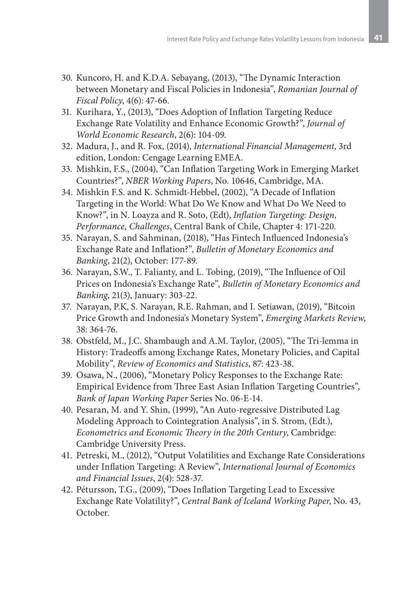- 30. Kuncoro, H. and K.D.A. Sebayang, (2013), "The Dynamic Interaction between Monetary and Fiscal Policies in Indonesia", *Romanian Journal of Fiscal Policy*, 4(6): 47-66.
- 31. Kurihara, Y., (2013), "Does Adoption of Inflation Targeting Reduce Exchange Rate Volatility and Enhance Economic Growth?", *Journal of World Economic Research*, 2(6): 104-09.
- 32. Madura, J., and R. Fox, (2014), *International Financial Management*, 3rd edition, London: Cengage Learning EMEA.
- 33. Mishkin, F.S., (2004), "Can Inflation Targeting Work in Emerging Market Countries?", *NBER Working Papers*, No. 10646, Cambridge, MA.
- 34. Mishkin F.S. and K. Schmidt-Hebbel, (2002), "A Decade of Inflation Targeting in the World: What Do We Know and What Do We Need to Know?", in N. Loayza and R. Soto, (Edt), *Inflation Targeting: Design, Performance, Challenges*, Central Bank of Chile, Chapter 4: 171-220.
- 35. Narayan, S. and Sahminan, (2018), "Has Fintech Influenced Indonesia's Exchange Rate and Inflation?", *Bulletin of Monetary Economics and Banking*, 21(2), October: 177-89.
- 36. Narayan, S.W., T. Falianty, and L. Tobing, (2019), "The Influence of Oil Prices on Indonesia's Exchange Rate", *Bulletin of Monetary Economics and Banking*, 21(3), January: 303-22.
- 37. Narayan, P.K, S. Narayan, R.E. Rahman, and I. Setiawan, (2019), "Bitcoin Price Growth and Indonesia's Monetary System", *Emerging Markets Review*, 38: 364-76.
- 38. Obstfeld, M., J.C. Shambaugh and A.M. Taylor, (2005), "The Tri-lemma in History: Tradeoffs among Exchange Rates, Monetary Policies, and Capital Mobility", *Review of Economics and Statistics*, 87: 423-38.
- 39. Osawa, N., (2006), "Monetary Policy Responses to the Exchange Rate: Empirical Evidence from Three East Asian Inflation Targeting Countries", *Bank of Japan Working Paper* Series No. 06-E-14.
- 40. Pesaran, M. and Y. Shin, (1999), "An Auto-regressive Distributed Lag Modeling Approach to Cointegration Analysis", in S. Strom, (Edt.), *Econometrics and Economic Theory in the 20th Century*, Cambridge: Cambridge University Press.
- 41. Petreski, M., (2012), "Output Volatilities and Exchange Rate Considerations under Inflation Targeting: A Review", *International Journal of Economics and Financial Issues*, 2(4): 528-37.
- 42. Pétursson, T.G., (2009), "Does Inflation Targeting Lead to Excessive Exchange Rate Volatility?", *Central Bank of Iceland Working Paper*, No. 43, October.